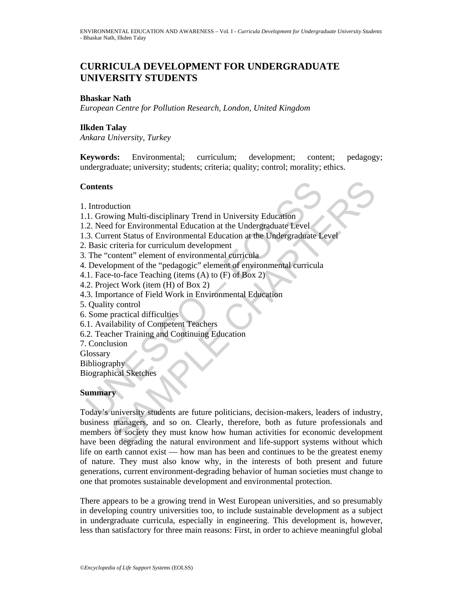# **CURRICULA DEVELOPMENT FOR UNDERGRADUATE UNIVERSITY STUDENTS**

### **Bhaskar Nath**

*European Centre for Pollution Research, London, United Kingdom* 

### **Ilkden Talay**

*Ankara University, Turkey* 

**Keywords:** Environmental; curriculum; development; content; pedagogy; undergraduate; university; students; criteria; quality; control; morality; ethics.

#### **Contents**

- 1. Introduction
- 1.1. Growing Multi-disciplinary Trend in University Education
- 1.2. Need for Environmental Education at the Undergraduate Level
- 1.3. Current Status of Environmental Education at the Undergraduate Level
- 2. Basic criteria for curriculum development
- 3. The "content" element of environmental curricula
- 4. Development of the "pedagogic" element of environmental curricula
- 4.1. Face-to-face Teaching (items (A) to (F) of Box 2)
- 4.2. Project Work (item (H) of Box 2)
- 4.3. Importance of Field Work in Environmental Education
- 5. Quality control
- 6. Some practical difficulties
- 6.1. Availability of Competent Teachers
- 6.2. Teacher Training and Continuing Education
- 7. Conclusion
- **Glossary**

Bibliography

Biographical Sketches

## **Summary**

Contents<br>
1. Growing Multi-disciplinary Trend in University Education<br>
1. Growing Multi-disciplinary Trend in University Education<br>
2. Need for Environmental Education at the Undergraduate Level<br>
3. Current Status of Envir S<br>
Sourcion<br>
Ming Multi-disciplinary Trend in University Education<br>
or for Environmental Education at the Undergraduate Level<br>
ent Status of Environmental Education at the Undergraduate Level<br>
criteria for curriculum devel Today's university students are future politicians, decision-makers, leaders of industry, business managers, and so on. Clearly, therefore, both as future professionals and members of society they must know how human activities for economic development have been degrading the natural environment and life-support systems without which life on earth cannot exist — how man has been and continues to be the greatest enemy of nature. They must also know why, in the interests of both present and future generations, current environment-degrading behavior of human societies must change to one that promotes sustainable development and environmental protection.

There appears to be a growing trend in West European universities, and so presumably in developing country universities too, to include sustainable development as a subject in undergraduate curricula, especially in engineering. This development is, however, less than satisfactory for three main reasons: First, in order to achieve meaningful global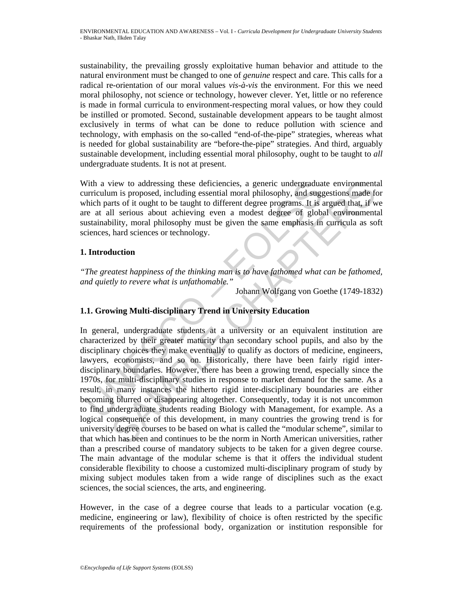sustainability, the prevailing grossly exploitative human behavior and attitude to the natural environment must be changed to one of *genuine* respect and care. This calls for a radical re-orientation of our moral values *vis-à-vis* the environment. For this we need moral philosophy, not science or technology, however clever. Yet, little or no reference is made in formal curricula to environment-respecting moral values, or how they could be instilled or promoted. Second, sustainable development appears to be taught almost exclusively in terms of what can be done to reduce pollution with science and technology, with emphasis on the so-called "end-of-the-pipe" strategies, whereas what is needed for global sustainability are "before-the-pipe" strategies. And third, arguably sustainable development, including essential moral philosophy, ought to be taught to *all* undergraduate students. It is not at present.

With a view to addressing these deficiencies, a generic undergraduate environmental curriculum is proposed, including essential moral philosophy, and suggestions made for which parts of it ought to be taught to different degree programs. It is argued that, if we are at all serious about achieving even a modest degree of global environmental sustainability, moral philosophy must be given the same emphasis in curricula as soft sciences, hard sciences or technology.

# **1. Introduction**

*"The greatest happiness of the thinking man is to have fathomed what can be fathomed, and quietly to revere what is unfathomable."* 

Johann Wolfgang von Goethe (1749-1832)

# **1.1. Growing Multi-disciplinary Trend in University Education**

The a view to addressing these deficiencies, a generic undergradua<br>
urriculum is proposed, including essential moral philosophy, and sugger<br>
thich parts of it ought to be taught to different degree programs. It is<br>
the ret icive to addressing these deficiencies, a generic undergraduate environment<br>
in is proposed, including essential moral philosophy, and suggestions made for<br>
ints of it ought to be taught to different degree programs. It is In general, undergraduate students at a university or an equivalent institution are characterized by their greater maturity than secondary school pupils, and also by the disciplinary choices they make eventually to qualify as doctors of medicine, engineers, lawyers, economists, and so on. Historically, there have been fairly rigid interdisciplinary boundaries. However, there has been a growing trend, especially since the 1970s, for multi-disciplinary studies in response to market demand for the same. As a result, in many instances the hitherto rigid inter-disciplinary boundaries are either becoming blurred or disappearing altogether. Consequently, today it is not uncommon to find undergraduate students reading Biology with Management, for example. As a logical consequence of this development, in many countries the growing trend is for university degree courses to be based on what is called the "modular scheme", similar to that which has been and continues to be the norm in North American universities, rather than a prescribed course of mandatory subjects to be taken for a given degree course. The main advantage of the modular scheme is that it offers the individual student considerable flexibility to choose a customized multi-disciplinary program of study by mixing subject modules taken from a wide range of disciplines such as the exact sciences, the social sciences, the arts, and engineering.

However, in the case of a degree course that leads to a particular vocation (e.g. medicine, engineering or law), flexibility of choice is often restricted by the specific requirements of the professional body, organization or institution responsible for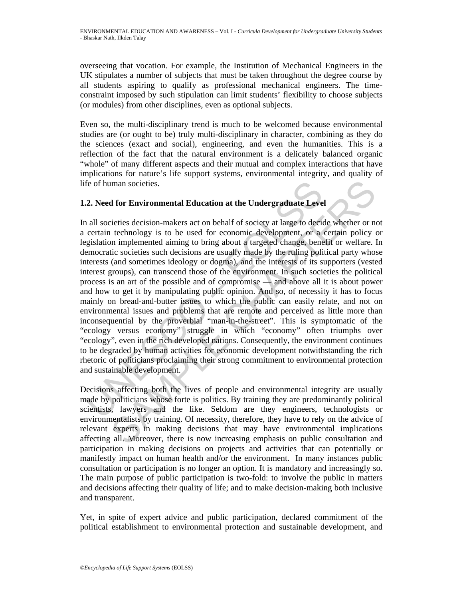overseeing that vocation. For example, the Institution of Mechanical Engineers in the UK stipulates a number of subjects that must be taken throughout the degree course by all students aspiring to qualify as professional mechanical engineers. The timeconstraint imposed by such stipulation can limit students' flexibility to choose subjects (or modules) from other disciplines, even as optional subjects.

Even so, the multi-disciplinary trend is much to be welcomed because environmental studies are (or ought to be) truly multi-disciplinary in character, combining as they do the sciences (exact and social), engineering, and even the humanities. This is a reflection of the fact that the natural environment is a delicately balanced organic "whole" of many different aspects and their mutual and complex interactions that have implications for nature's life support systems, environmental integrity, and quality of life of human societies.

## **1.2. Need for Environmental Education at the Undergraduate Level**

fe of human societies.<br>
2. Need for Environmental Education at the Undergraduate Leve<br>
all societies decision-makers act on behalf of society at large to decicertain technology is to be used for economic development, or a<br> man societies.<br> **A for Environmental Education at the Undergraduate Level**<br>
eieties decision-makers act on behalf of society at large to decide whether or n<br>
technology is to be used for economic development, or a certain In all societies decision-makers act on behalf of society at large to decide whether or not a certain technology is to be used for economic development, or a certain policy or legislation implemented aiming to bring about a targeted change, benefit or welfare. In democratic societies such decisions are usually made by the ruling political party whose interests (and sometimes ideology or dogma), and the interests of its supporters (vested interest groups), can transcend those of the environment. In such societies the political process is an art of the possible and of compromise — and above all it is about power and how to get it by manipulating public opinion. And so, of necessity it has to focus mainly on bread-and-butter issues to which the public can easily relate, and not on environmental issues and problems that are remote and perceived as little more than inconsequential by the proverbial "man-in-the-street". This is symptomatic of the "ecology versus economy" struggle in which "economy" often triumphs over "ecology", even in the rich developed nations. Consequently, the environment continues to be degraded by human activities for economic development notwithstanding the rich rhetoric of politicians proclaiming their strong commitment to environmental protection and sustainable development.

Decisions affecting both the lives of people and environmental integrity are usually made by politicians whose forte is politics. By training they are predominantly political scientists, lawyers and the like. Seldom are they engineers, technologists or environmentalists by training. Of necessity, therefore, they have to rely on the advice of relevant experts in making decisions that may have environmental implications affecting all. Moreover, there is now increasing emphasis on public consultation and participation in making decisions on projects and activities that can potentially or manifestly impact on human health and/or the environment. In many instances public consultation or participation is no longer an option. It is mandatory and increasingly so. The main purpose of public participation is two-fold: to involve the public in matters and decisions affecting their quality of life; and to make decision-making both inclusive and transparent.

Yet, in spite of expert advice and public participation, declared commitment of the political establishment to environmental protection and sustainable development, and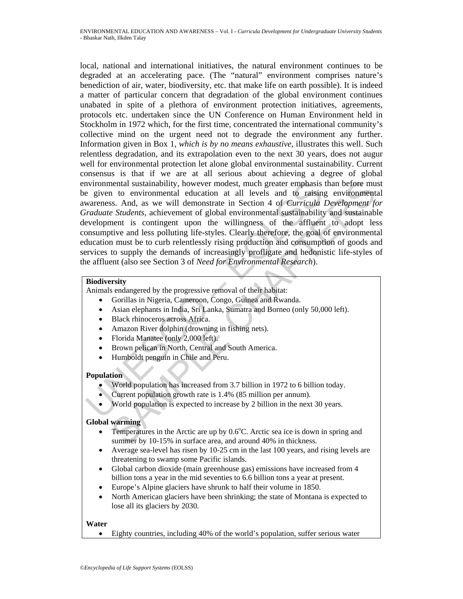Now the gradient sustainability, however modest, much greater emphasis<br>
given to environmental education at all levels and to raisin<br>
avarences. And, as we will demonstrate in Section 4 of *Curricula*<br> *Fraduate Students*, nental sustainability, however modest, much greater emphasis than before mu<br>
to environmental education at all levels and to raising environmental<br>
is said. And, as we will demonstrate in Section 4 of *Curricula Developmen* local, national and international initiatives, the natural environment continues to be degraded at an accelerating pace. (The "natural" environment comprises nature's benediction of air, water, biodiversity, etc. that make life on earth possible). It is indeed a matter of particular concern that degradation of the global environment continues unabated in spite of a plethora of environment protection initiatives, agreements, protocols etc. undertaken since the UN Conference on Human Environment held in Stockholm in 1972 which, for the first time, concentrated the international community's collective mind on the urgent need not to degrade the environment any further. Information given in Box 1, *which is by no means exhaustive*, illustrates this well. Such relentless degradation, and its extrapolation even to the next 30 years, does not augur well for environmental protection let alone global environmental sustainability. Current consensus is that if we are at all serious about achieving a degree of global environmental sustainability, however modest, much greater emphasis than before must be given to environmental education at all levels and to raising environmental awareness. And, as we will demonstrate in Section 4 of *Curricula Development for Graduate Students*, achievement of global environmental sustainability and sustainable development is contingent upon the willingness of the affluent to adopt less consumptive and less polluting life-styles. Clearly therefore, the goal of environmental education must be to curb relentlessly rising production and consumption of goods and services to supply the demands of increasingly profligate and hedonistic life-styles of the affluent (also see Section 3 of *Need for Environmental Research*).

## **Biodiversity**

Animals endangered by the progressive removal of their habitat:

- Gorillas in Nigeria, Cameroon, Congo, Guinea and Rwanda.
- Asian elephants in India, Sri Lanka, Sumatra and Borneo (only 50,000 left).
- Black rhinoceros across Africa.
- Amazon River dolphin (drowning in fishing nets).
- Florida Manatee (only 2,000 left).
- Brown pelican in North, Central and South America.
- Humboldt penguin in Chile and Peru.

#### **Population**

- World population has increased from 3.7 billion in 1972 to 6 billion today.
- Current population growth rate is 1.4% (85 million per annum).
- World population is expected to increase by 2 billion in the next 30 years.

#### **Global warming**

- Temperatures in the Arctic are up by  $0.6^{\circ}$ C. Arctic sea ice is down in spring and summer by 10-15% in surface area, and around 40% in thickness.
- Average sea-level has risen by 10-25 cm in the last 100 years, and rising levels are threatening to swamp some Pacific islands.
- Global carbon dioxide (main greenhouse gas) emissions have increased from 4 billion tons a year in the mid seventies to 6.6 billion tons a year at present.
- Europe's Alpine glaciers have shrunk to half their volume in 1850.
- North American glaciers have been shrinking; the state of Montana is expected to lose all its glaciers by 2030.

#### **Water**

• Eighty countries, including 40% of the world's population, suffer serious water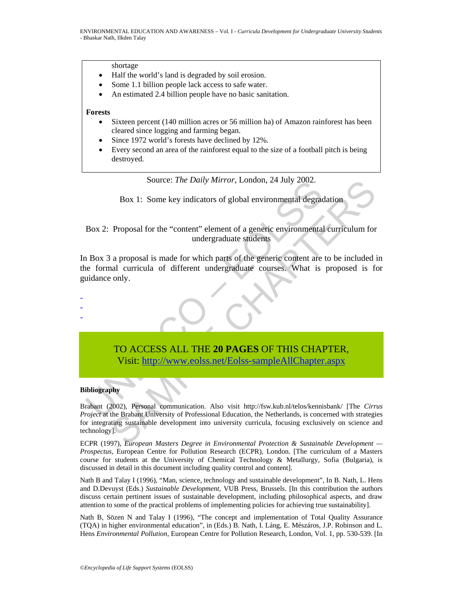shortage

- Half the world's land is degraded by soil erosion.
- Some 1.1 billion people lack access to safe water.
- An estimated 2.4 billion people have no basic sanitation.

#### **Forests**

- Sixteen percent (140 million acres or 56 million ha) of Amazon rainforest has been cleared since logging and farming began.
- Since 1972 world's forests have declined by 12%.
- Every second an area of the rainforest equal to the size of a football pitch is being destroyed.

Source: *The Daily Mirror*, London, 24 July 2002.

Box 1: Some key indicators of global environmental degradation

Box 2: Proposal for the "content" element of a generic environmental curriculum for undergraduate students

Source: The Datity Mirror, London, 24 July 2002.<br>
Box 1: Some key indicators of global environmental degrae<br>
Box 2: Proposal for the "content" element of a generic environmental<br>
undergraduate students<br>
1 Box 3 a proposal In Box 3 a proposal is made for which parts of the generic content are to be included in the formal curricula of different undergraduate courses. What is proposed is for guidance only.

- - -

# TO ACCESS ALL THE **20 PAGES** OF THIS CHAPTER, Visit: http://www.eolss.net/Eolss-sampleAllChapter.aspx

#### **Bibliography**

Source: *Ine Dauly Mirror*, London, 24 July 2002.<br>
Box 1: Some key indicators of global environmental degradation<br>
Proposal for the "content" element of a generic environmental curriculum for<br>
undergraduate students<br>
a pro Brabant (2002), Personal communication. Also visit http://fsw.kub.nl/telos/kennisbank/ [The *Cirrus Project* at the Brabant University of Professional Education, the Netherlands, is concerned with strategies for integrating sustainable development into university curricula, focusing exclusively on science and technology].

ECPR (1997), *European Masters Degree in Environmental Protection & Sustainable Development — Prospectus*, European Centre for Pollution Research (ECPR), London. [The curriculum of a Masters course for students at the University of Chemical Technology & Metallurgy, Sofia (Bulgaria), is discussed in detail in this document including quality control and content].

Nath B and Talay I (1996), "Man, science, technology and sustainable development", In B. Nath, L. Hens and D.Devuyst (Eds.) *Sustainable Development*, VUB Press, Brussels. [In this contribution the authors discuss certain pertinent issues of sustainable development, including philosophical aspects, and draw attention to some of the practical problems of implementing policies for achieving true sustainability].

Nath B, Sözen N and Talay I (1996), "The concept and implementation of Total Quality Assurance (TQA) in higher environmental education", in (Eds.) B. Nath, I. Láng, E. Mészáros, J.P. Robinson and L. Hens *Environmental Pollution*, European Centre for Pollution Research, London, Vol. 1, pp. 530-539. [In